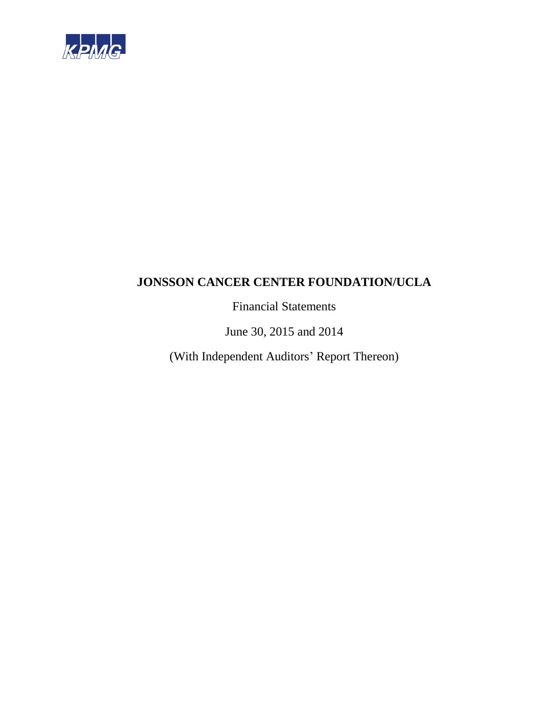

Financial Statements

June 30, 2015 and 2014

(With Independent Auditors' Report Thereon)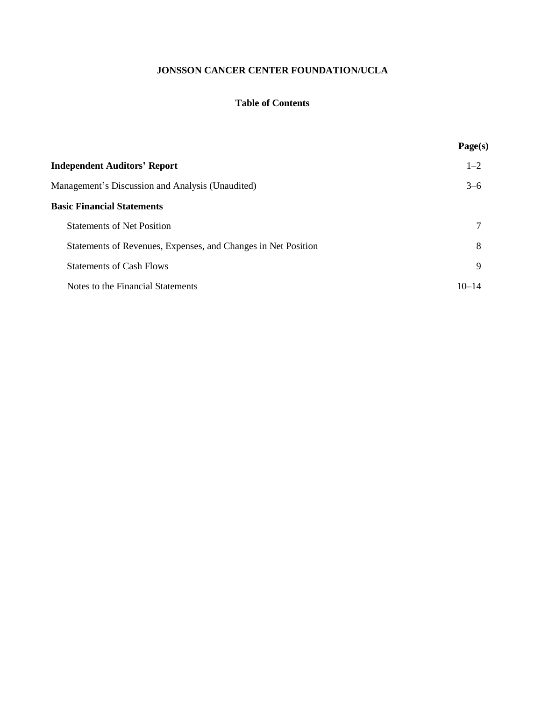# **Table of Contents**

|                                                               | Page(s)   |
|---------------------------------------------------------------|-----------|
| <b>Independent Auditors' Report</b>                           | $1 - 2$   |
| Management's Discussion and Analysis (Unaudited)              | $3-6$     |
| <b>Basic Financial Statements</b>                             |           |
| <b>Statements of Net Position</b>                             | 7         |
| Statements of Revenues, Expenses, and Changes in Net Position | 8         |
| <b>Statements of Cash Flows</b>                               | 9         |
| Notes to the Financial Statements                             | $10 - 14$ |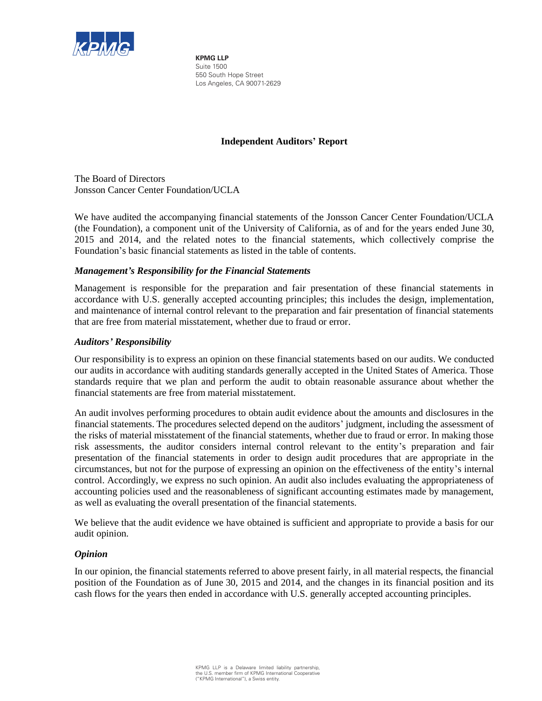

**KPMG LLP** Suite 1500 550 South Hope Street Los Angeles, CA 90071-2629

# **Independent Auditors' Report**

The Board of Directors Jonsson Cancer Center Foundation/UCLA

We have audited the accompanying financial statements of the Jonsson Cancer Center Foundation/UCLA (the Foundation), a component unit of the University of California, as of and for the years ended June 30, 2015 and 2014, and the related notes to the financial statements, which collectively comprise the Foundation's basic financial statements as listed in the table of contents.

# *Management's Responsibility for the Financial Statements*

Management is responsible for the preparation and fair presentation of these financial statements in accordance with U.S. generally accepted accounting principles; this includes the design, implementation, and maintenance of internal control relevant to the preparation and fair presentation of financial statements that are free from material misstatement, whether due to fraud or error.

# *Auditors' Responsibility*

Our responsibility is to express an opinion on these financial statements based on our audits. We conducted our audits in accordance with auditing standards generally accepted in the United States of America. Those standards require that we plan and perform the audit to obtain reasonable assurance about whether the financial statements are free from material misstatement.

An audit involves performing procedures to obtain audit evidence about the amounts and disclosures in the financial statements. The procedures selected depend on the auditors' judgment, including the assessment of the risks of material misstatement of the financial statements, whether due to fraud or error. In making those risk assessments, the auditor considers internal control relevant to the entity's preparation and fair presentation of the financial statements in order to design audit procedures that are appropriate in the circumstances, but not for the purpose of expressing an opinion on the effectiveness of the entity's internal control. Accordingly, we express no such opinion. An audit also includes evaluating the appropriateness of accounting policies used and the reasonableness of significant accounting estimates made by management, as well as evaluating the overall presentation of the financial statements.

We believe that the audit evidence we have obtained is sufficient and appropriate to provide a basis for our audit opinion.

# *Opinion*

In our opinion, the financial statements referred to above present fairly, in all material respects, the financial position of the Foundation as of June 30, 2015 and 2014, and the changes in its financial position and its cash flows for the years then ended in accordance with U.S. generally accepted accounting principles.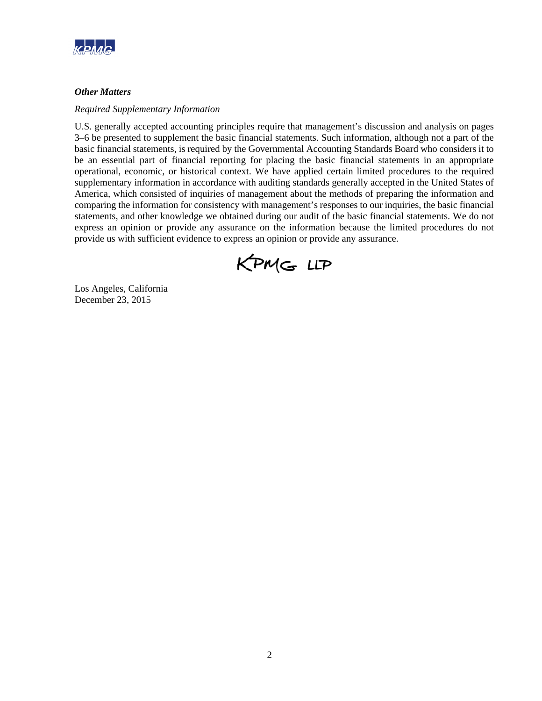

# *Other Matters*

## *Required Supplementary Information*

U.S. generally accepted accounting principles require that management's discussion and analysis on pages 3–6 be presented to supplement the basic financial statements. Such information, although not a part of the basic financial statements, is required by the Governmental Accounting Standards Board who considers it to be an essential part of financial reporting for placing the basic financial statements in an appropriate operational, economic, or historical context. We have applied certain limited procedures to the required supplementary information in accordance with auditing standards generally accepted in the United States of America, which consisted of inquiries of management about the methods of preparing the information and comparing the information for consistency with management's responses to our inquiries, the basic financial statements, and other knowledge we obtained during our audit of the basic financial statements. We do not express an opinion or provide any assurance on the information because the limited procedures do not provide us with sufficient evidence to express an opinion or provide any assurance.

KPMG LLP

Los Angeles, California December 23, 2015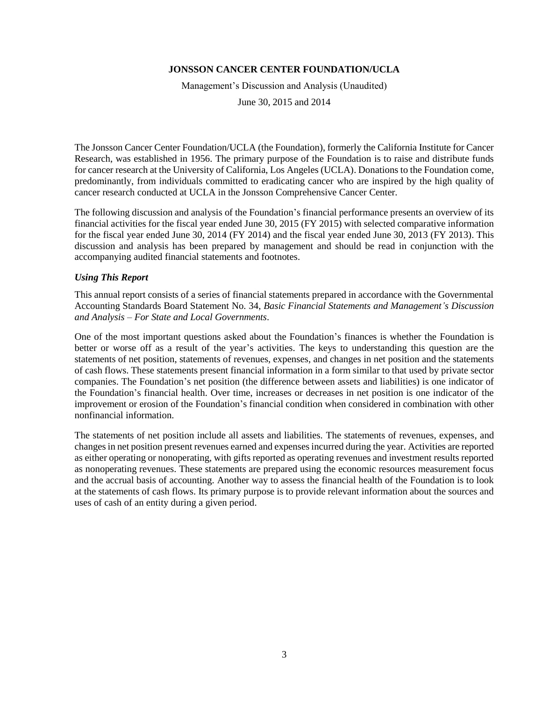Management's Discussion and Analysis (Unaudited)

June 30, 2015 and 2014

The Jonsson Cancer Center Foundation/UCLA (the Foundation), formerly the California Institute for Cancer Research, was established in 1956. The primary purpose of the Foundation is to raise and distribute funds for cancer research at the University of California, Los Angeles (UCLA). Donations to the Foundation come, predominantly, from individuals committed to eradicating cancer who are inspired by the high quality of cancer research conducted at UCLA in the Jonsson Comprehensive Cancer Center.

The following discussion and analysis of the Foundation's financial performance presents an overview of its financial activities for the fiscal year ended June 30, 2015 (FY 2015) with selected comparative information for the fiscal year ended June 30, 2014 (FY 2014) and the fiscal year ended June 30, 2013 (FY 2013). This discussion and analysis has been prepared by management and should be read in conjunction with the accompanying audited financial statements and footnotes.

# *Using This Report*

This annual report consists of a series of financial statements prepared in accordance with the Governmental Accounting Standards Board Statement No. 34, *Basic Financial Statements and Management's Discussion and Analysis – For State and Local Governments*.

One of the most important questions asked about the Foundation's finances is whether the Foundation is better or worse off as a result of the year's activities. The keys to understanding this question are the statements of net position, statements of revenues, expenses, and changes in net position and the statements of cash flows. These statements present financial information in a form similar to that used by private sector companies. The Foundation's net position (the difference between assets and liabilities) is one indicator of the Foundation's financial health. Over time, increases or decreases in net position is one indicator of the improvement or erosion of the Foundation's financial condition when considered in combination with other nonfinancial information.

The statements of net position include all assets and liabilities. The statements of revenues, expenses, and changes in net position present revenues earned and expenses incurred during the year. Activities are reported as either operating or nonoperating, with gifts reported as operating revenues and investment results reported as nonoperating revenues. These statements are prepared using the economic resources measurement focus and the accrual basis of accounting. Another way to assess the financial health of the Foundation is to look at the statements of cash flows. Its primary purpose is to provide relevant information about the sources and uses of cash of an entity during a given period.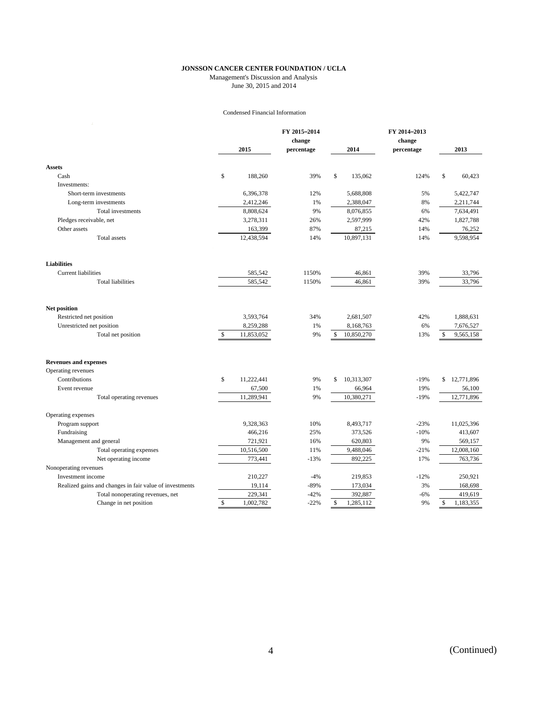Management's Discussion and Analysis

June 30, 2015 and 2014

#### Condensed Financial Information

|                                                         |                  | FY 2015-2014 |                  | FY 2014-2013 |                  |
|---------------------------------------------------------|------------------|--------------|------------------|--------------|------------------|
|                                                         |                  | change       |                  | change       |                  |
|                                                         | 2015             | percentage   | 2014             | percentage   | 2013             |
| <b>Assets</b>                                           |                  |              |                  |              |                  |
| Cash                                                    | \$<br>188,260    | 39%          | \$<br>135,062    | 124%         | \$<br>60,423     |
| Investments:                                            |                  |              |                  |              |                  |
| Short-term investments                                  | 6,396,378        | 12%          | 5,688,808        | 5%           | 5,422,747        |
| Long-term investments                                   | 2,412,246        | 1%           | 2,388,047        | 8%           | 2,211,744        |
| Total investments                                       | 8,808,624        | 9%           | 8,076,855        | 6%           | 7,634,491        |
| Pledges receivable, net                                 | 3,278,311        | 26%          | 2,597,999        | 42%          | 1,827,788        |
| Other assets                                            | 163,399          | 87%          | 87,215           | 14%          | 76,252           |
| <b>Total assets</b>                                     | 12,438,594       | 14%          | 10,897,131       | 14%          | 9,598,954        |
| <b>Liabilities</b>                                      |                  |              |                  |              |                  |
| <b>Current liabilities</b>                              | 585,542          | 1150%        | 46,861           | 39%          | 33,796           |
| <b>Total liabilities</b>                                | 585,542          | 1150%        | 46,861           | 39%          | 33,796           |
|                                                         |                  |              |                  |              |                  |
| <b>Net position</b>                                     |                  |              |                  |              |                  |
| Restricted net position                                 | 3,593,764        | 34%          | 2,681,507        | 42%          | 1,888,631        |
| Unrestricted net position                               | 8,259,288        | 1%           | 8,168,763        | 6%           | 7,676,527        |
| Total net position                                      | \$<br>11,853,052 | 9%           | \$<br>10,850,270 | 13%          | \$<br>9,565,158  |
| <b>Revenues and expenses</b>                            |                  |              |                  |              |                  |
| Operating revenues                                      |                  |              |                  |              |                  |
| Contributions                                           | \$<br>11,222,441 | 9%           | \$<br>10,313,307 | $-19%$       | \$<br>12,771,896 |
| Event revenue                                           | 67,500           | 1%           | 66,964           | 19%          | 56,100           |
| Total operating revenues                                | 11,289,941       | 9%           | 10,380,271       | $-19%$       | 12,771,896       |
| Operating expenses                                      |                  |              |                  |              |                  |
| Program support                                         | 9,328,363        | 10%          | 8,493,717        | $-23%$       | 11,025,396       |
| Fundraising                                             | 466,216          | 25%          | 373,526          | $-10%$       | 413,607          |
| Management and general                                  | 721,921          | 16%          | 620,803          | 9%           | 569,157          |
| Total operating expenses                                | 10,516,500       | 11%          | 9,488,046        | $-21%$       | 12,008,160       |
| Net operating income                                    | 773,441          | $-13%$       | 892,225          | 17%          | 763,736          |
| Nonoperating revenues                                   |                  |              |                  |              |                  |
| Investment income                                       | 210,227          | $-4%$        | 219,853          | $-12%$       | 250,921          |
| Realized gains and changes in fair value of investments | 19,114           | $-89%$       | 173,034          | 3%           | 168,698          |
| Total nonoperating revenues, net                        | 229,341          | $-42%$       | 392,887          | $-6%$        | 419,619          |
| Change in net position                                  | \$<br>1,002,782  | $-22%$       | \$<br>1,285,112  | 9%           | \$<br>1,183,355  |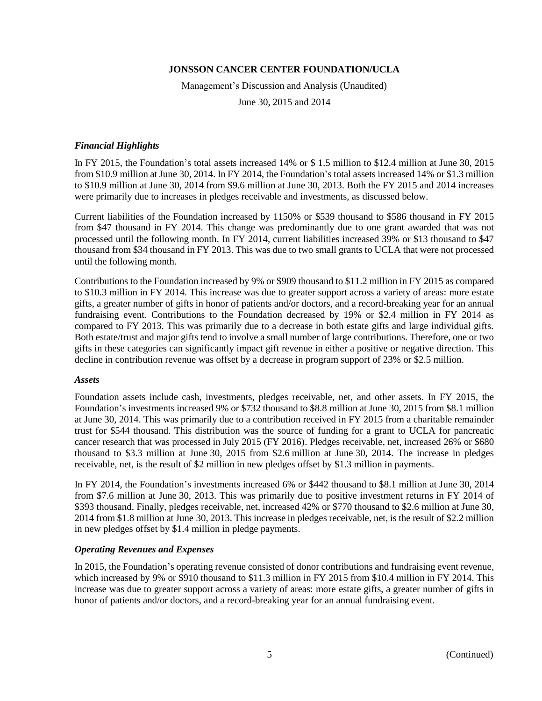Management's Discussion and Analysis (Unaudited)

June 30, 2015 and 2014

# *Financial Highlights*

In FY 2015, the Foundation's total assets increased 14% or \$ 1.5 million to \$12.4 million at June 30, 2015 from \$10.9 million at June 30, 2014. In FY 2014, the Foundation's total assets increased 14% or \$1.3 million to \$10.9 million at June 30, 2014 from \$9.6 million at June 30, 2013. Both the FY 2015 and 2014 increases were primarily due to increases in pledges receivable and investments, as discussed below.

Current liabilities of the Foundation increased by 1150% or \$539 thousand to \$586 thousand in FY 2015 from \$47 thousand in FY 2014. This change was predominantly due to one grant awarded that was not processed until the following month. In FY 2014, current liabilities increased 39% or \$13 thousand to \$47 thousand from \$34 thousand in FY 2013. This was due to two small grants to UCLA that were not processed until the following month.

Contributions to the Foundation increased by 9% or \$909 thousand to \$11.2 million in FY 2015 as compared to \$10.3 million in FY 2014. This increase was due to greater support across a variety of areas: more estate gifts, a greater number of gifts in honor of patients and/or doctors, and a record-breaking year for an annual fundraising event. Contributions to the Foundation decreased by 19% or \$2.4 million in FY 2014 as compared to FY 2013. This was primarily due to a decrease in both estate gifts and large individual gifts. Both estate/trust and major gifts tend to involve a small number of large contributions. Therefore, one or two gifts in these categories can significantly impact gift revenue in either a positive or negative direction. This decline in contribution revenue was offset by a decrease in program support of 23% or \$2.5 million.

# *Assets*

Foundation assets include cash, investments, pledges receivable, net, and other assets. In FY 2015, the Foundation's investments increased 9% or \$732 thousand to \$8.8 million at June 30, 2015 from \$8.1 million at June 30, 2014. This was primarily due to a contribution received in FY 2015 from a charitable remainder trust for \$544 thousand. This distribution was the source of funding for a grant to UCLA for pancreatic cancer research that was processed in July 2015 (FY 2016). Pledges receivable, net, increased 26% or \$680 thousand to \$3.3 million at June 30, 2015 from \$2.6 million at June 30, 2014. The increase in pledges receivable, net, is the result of \$2 million in new pledges offset by \$1.3 million in payments.

In FY 2014, the Foundation's investments increased 6% or \$442 thousand to \$8.1 million at June 30, 2014 from \$7.6 million at June 30, 2013. This was primarily due to positive investment returns in FY 2014 of \$393 thousand. Finally, pledges receivable, net, increased 42% or \$770 thousand to \$2.6 million at June 30, 2014 from \$1.8 million at June 30, 2013. This increase in pledges receivable, net, is the result of \$2.2 million in new pledges offset by \$1.4 million in pledge payments.

# *Operating Revenues and Expenses*

In 2015, the Foundation's operating revenue consisted of donor contributions and fundraising event revenue, which increased by 9% or \$910 thousand to \$11.3 million in FY 2015 from \$10.4 million in FY 2014. This increase was due to greater support across a variety of areas: more estate gifts, a greater number of gifts in honor of patients and/or doctors, and a record-breaking year for an annual fundraising event.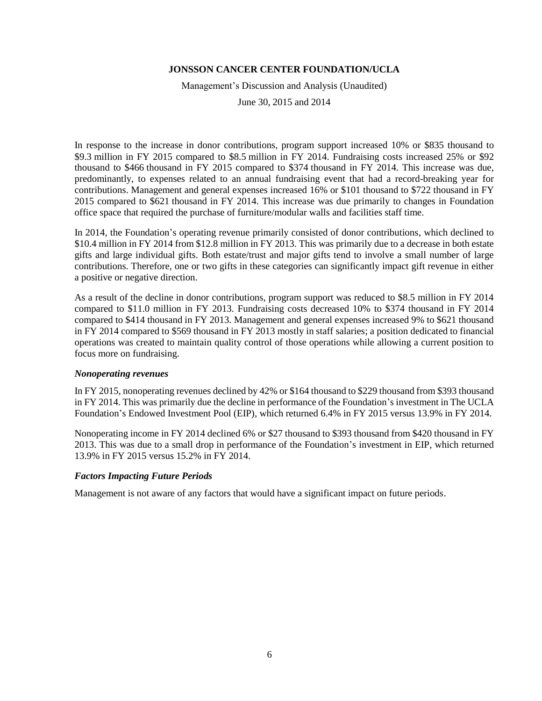Management's Discussion and Analysis (Unaudited)

June 30, 2015 and 2014

In response to the increase in donor contributions, program support increased 10% or \$835 thousand to \$9.3 million in FY 2015 compared to \$8.5 million in FY 2014. Fundraising costs increased 25% or \$92 thousand to \$466 thousand in FY 2015 compared to \$374 thousand in FY 2014. This increase was due, predominantly, to expenses related to an annual fundraising event that had a record-breaking year for contributions. Management and general expenses increased 16% or \$101 thousand to \$722 thousand in FY 2015 compared to \$621 thousand in FY 2014. This increase was due primarily to changes in Foundation office space that required the purchase of furniture/modular walls and facilities staff time.

In 2014, the Foundation's operating revenue primarily consisted of donor contributions, which declined to \$10.4 million in FY 2014 from \$12.8 million in FY 2013. This was primarily due to a decrease in both estate gifts and large individual gifts. Both estate/trust and major gifts tend to involve a small number of large contributions. Therefore, one or two gifts in these categories can significantly impact gift revenue in either a positive or negative direction.

As a result of the decline in donor contributions, program support was reduced to \$8.5 million in FY 2014 compared to \$11.0 million in FY 2013. Fundraising costs decreased 10% to \$374 thousand in FY 2014 compared to \$414 thousand in FY 2013. Management and general expenses increased 9% to \$621 thousand in FY 2014 compared to \$569 thousand in FY 2013 mostly in staff salaries; a position dedicated to financial operations was created to maintain quality control of those operations while allowing a current position to focus more on fundraising.

#### *Nonoperating revenues*

In FY 2015, nonoperating revenues declined by 42% or \$164 thousand to \$229 thousand from \$393 thousand in FY 2014. This was primarily due the decline in performance of the Foundation's investment in The UCLA Foundation's Endowed Investment Pool (EIP), which returned 6.4% in FY 2015 versus 13.9% in FY 2014.

Nonoperating income in FY 2014 declined 6% or \$27 thousand to \$393 thousand from \$420 thousand in FY 2013. This was due to a small drop in performance of the Foundation's investment in EIP, which returned 13.9% in FY 2015 versus 15.2% in FY 2014.

#### *Factors Impacting Future Periods*

Management is not aware of any factors that would have a significant impact on future periods.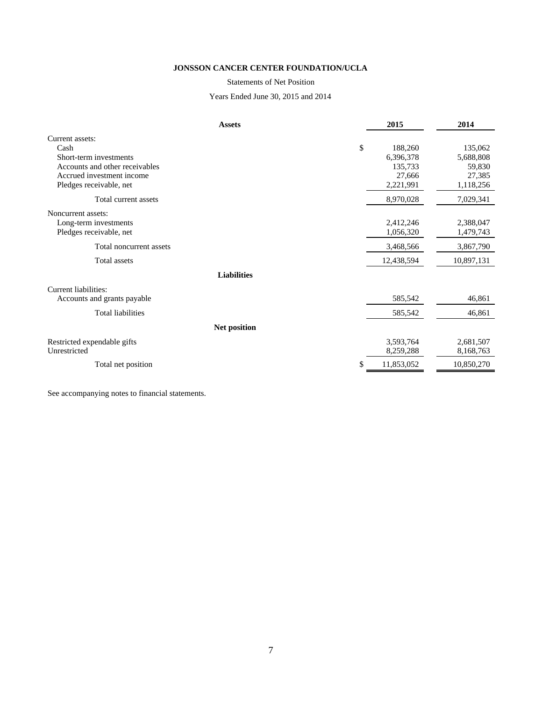#### Statements of Net Position

## Years Ended June 30, 2015 and 2014

| <b>Assets</b>                  | 2015             | 2014       |
|--------------------------------|------------------|------------|
| Current assets:                |                  |            |
| Cash                           | \$<br>188,260    | 135,062    |
| Short-term investments         | 6,396,378        | 5,688,808  |
| Accounts and other receivables | 135,733          | 59,830     |
| Accrued investment income      | 27,666           | 27,385     |
| Pledges receivable, net        | 2,221,991        | 1,118,256  |
| Total current assets           | 8,970,028        | 7,029,341  |
| Noncurrent assets:             |                  |            |
| Long-term investments          | 2,412,246        | 2,388,047  |
| Pledges receivable, net        | 1,056,320        | 1,479,743  |
| Total noncurrent assets        | 3,468,566        | 3,867,790  |
| Total assets                   | 12,438,594       | 10,897,131 |
| <b>Liabilities</b>             |                  |            |
| Current liabilities:           |                  |            |
| Accounts and grants payable    | 585,542          | 46,861     |
| <b>Total liabilities</b>       | 585,542          | 46,861     |
| <b>Net position</b>            |                  |            |
| Restricted expendable gifts    | 3,593,764        | 2,681,507  |
| Unrestricted                   | 8,259,288        | 8,168,763  |
| Total net position             | \$<br>11,853,052 | 10,850,270 |

See accompanying notes to financial statements.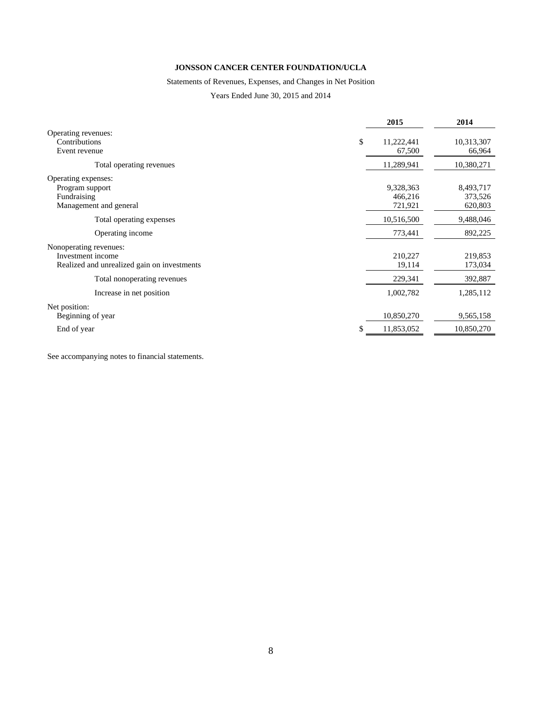## Statements of Revenues, Expenses, and Changes in Net Position

Years Ended June 30, 2015 and 2014

|                                             | 2015                 | 2014                 |
|---------------------------------------------|----------------------|----------------------|
| Operating revenues:                         |                      |                      |
| \$<br>Contributions<br>Event revenue        | 11,222,441<br>67,500 | 10,313,307<br>66,964 |
| Total operating revenues                    | 11,289,941           | 10,380,271           |
| Operating expenses:                         |                      |                      |
| Program support                             | 9,328,363            | 8,493,717            |
| Fundraising                                 | 466,216              | 373,526              |
| Management and general                      | 721,921              | 620,803              |
| Total operating expenses                    | 10,516,500           | 9,488,046            |
| Operating income                            | 773,441              | 892,225              |
| Nonoperating revenues:                      |                      |                      |
| Investment income                           | 210,227              | 219,853              |
| Realized and unrealized gain on investments | 19,114               | 173,034              |
| Total nonoperating revenues                 | 229,341              | 392,887              |
| Increase in net position                    | 1,002,782            | 1,285,112            |
| Net position:                               |                      |                      |
| Beginning of year                           | 10,850,270           | 9,565,158            |
| \$<br>End of year                           | 11,853,052           | 10,850,270           |

See accompanying notes to financial statements.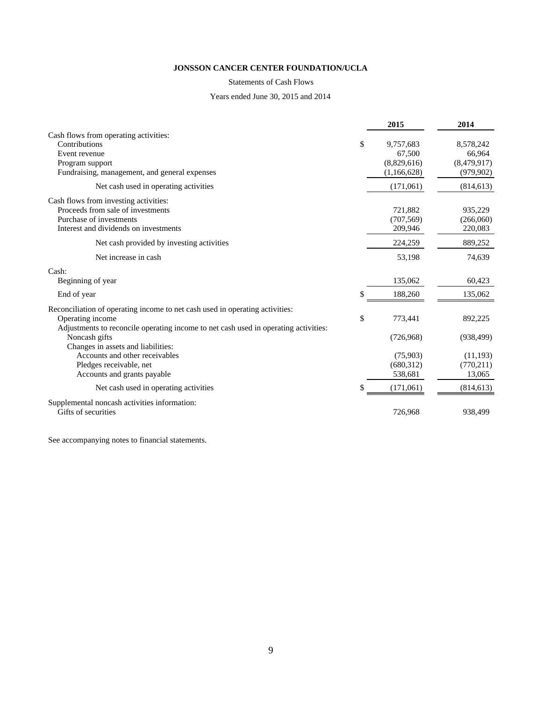#### Statements of Cash Flows

## Years ended June 30, 2015 and 2014

|                                                                                     |    | 2015        | 2014        |
|-------------------------------------------------------------------------------------|----|-------------|-------------|
| Cash flows from operating activities:                                               |    |             |             |
| Contributions                                                                       | \$ | 9,757,683   | 8,578,242   |
| Event revenue                                                                       |    | 67.500      | 66.964      |
| Program support                                                                     |    | (8,829,616) | (8,479,917) |
| Fundraising, management, and general expenses                                       |    | (1,166,628) | (979, 902)  |
| Net cash used in operating activities                                               |    | (171,061)   | (814, 613)  |
| Cash flows from investing activities:                                               |    |             |             |
| Proceeds from sale of investments                                                   |    | 721,882     | 935,229     |
| Purchase of investments                                                             |    | (707, 569)  | (266,060)   |
| Interest and dividends on investments                                               |    | 209,946     | 220,083     |
| Net cash provided by investing activities                                           |    | 224,259     | 889,252     |
| Net increase in cash                                                                |    | 53,198      | 74,639      |
| Cash:                                                                               |    |             |             |
| Beginning of year                                                                   |    | 135,062     | 60,423      |
| End of year                                                                         | S  | 188,260     | 135,062     |
| Reconciliation of operating income to net cash used in operating activities:        |    |             |             |
| Operating income                                                                    | \$ | 773,441     | 892,225     |
| Adjustments to reconcile operating income to net cash used in operating activities: |    |             |             |
| Noncash gifts                                                                       |    | (726,968)   | (938, 499)  |
| Changes in assets and liabilities:                                                  |    |             |             |
| Accounts and other receivables                                                      |    | (75,903)    | (11, 193)   |
| Pledges receivable, net                                                             |    | (680, 312)  | (770, 211)  |
| Accounts and grants payable                                                         |    | 538,681     | 13,065      |
| Net cash used in operating activities                                               | \$ | (171,061)   | (814, 613)  |
| Supplemental noncash activities information:                                        |    |             |             |
| Gifts of securities                                                                 |    | 726,968     | 938,499     |

See accompanying notes to financial statements.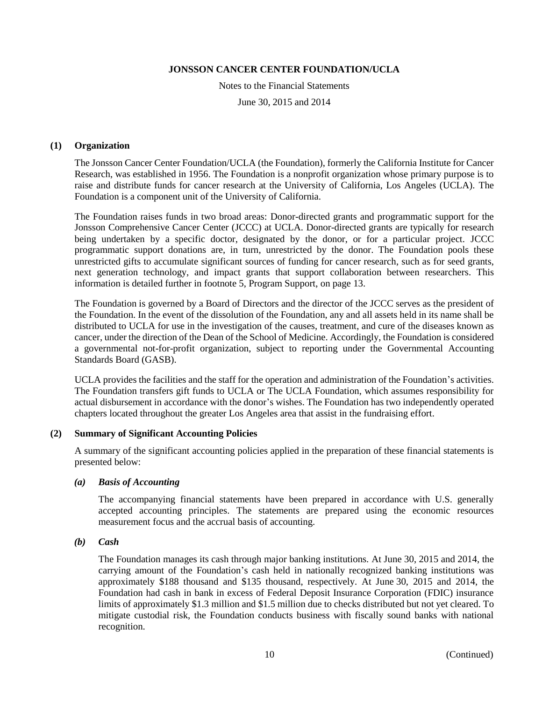Notes to the Financial Statements

June 30, 2015 and 2014

## **(1) Organization**

The Jonsson Cancer Center Foundation/UCLA (the Foundation), formerly the California Institute for Cancer Research, was established in 1956. The Foundation is a nonprofit organization whose primary purpose is to raise and distribute funds for cancer research at the University of California, Los Angeles (UCLA). The Foundation is a component unit of the University of California.

The Foundation raises funds in two broad areas: Donor-directed grants and programmatic support for the Jonsson Comprehensive Cancer Center (JCCC) at UCLA. Donor-directed grants are typically for research being undertaken by a specific doctor, designated by the donor, or for a particular project. JCCC programmatic support donations are, in turn, unrestricted by the donor. The Foundation pools these unrestricted gifts to accumulate significant sources of funding for cancer research, such as for seed grants, next generation technology, and impact grants that support collaboration between researchers. This information is detailed further in footnote 5, Program Support, on page 13.

The Foundation is governed by a Board of Directors and the director of the JCCC serves as the president of the Foundation. In the event of the dissolution of the Foundation, any and all assets held in its name shall be distributed to UCLA for use in the investigation of the causes, treatment, and cure of the diseases known as cancer, under the direction of the Dean of the School of Medicine. Accordingly, the Foundation is considered a governmental not-for-profit organization, subject to reporting under the Governmental Accounting Standards Board (GASB).

UCLA provides the facilities and the staff for the operation and administration of the Foundation's activities. The Foundation transfers gift funds to UCLA or The UCLA Foundation, which assumes responsibility for actual disbursement in accordance with the donor's wishes. The Foundation has two independently operated chapters located throughout the greater Los Angeles area that assist in the fundraising effort.

# **(2) Summary of Significant Accounting Policies**

A summary of the significant accounting policies applied in the preparation of these financial statements is presented below:

## *(a) Basis of Accounting*

The accompanying financial statements have been prepared in accordance with U.S. generally accepted accounting principles. The statements are prepared using the economic resources measurement focus and the accrual basis of accounting.

*(b) Cash*

The Foundation manages its cash through major banking institutions. At June 30, 2015 and 2014, the carrying amount of the Foundation's cash held in nationally recognized banking institutions was approximately \$188 thousand and \$135 thousand, respectively. At June 30, 2015 and 2014, the Foundation had cash in bank in excess of Federal Deposit Insurance Corporation (FDIC) insurance limits of approximately \$1.3 million and \$1.5 million due to checks distributed but not yet cleared. To mitigate custodial risk, the Foundation conducts business with fiscally sound banks with national recognition.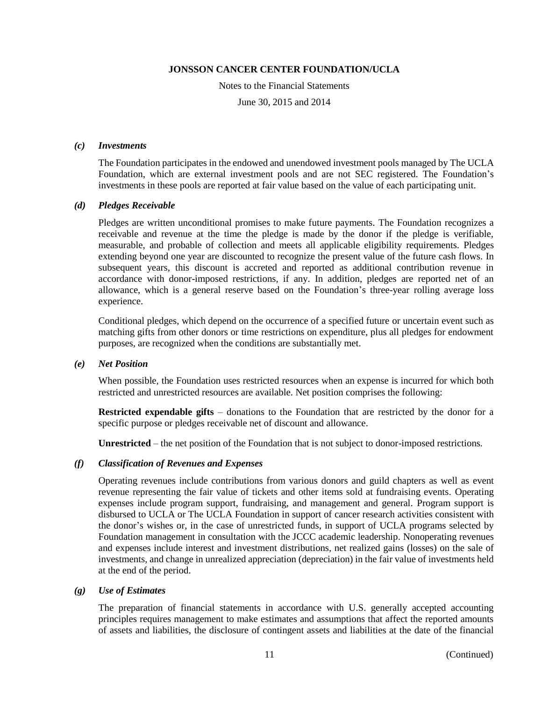Notes to the Financial Statements

June 30, 2015 and 2014

#### *(c) Investments*

The Foundation participates in the endowed and unendowed investment pools managed by The UCLA Foundation, which are external investment pools and are not SEC registered. The Foundation's investments in these pools are reported at fair value based on the value of each participating unit.

#### *(d) Pledges Receivable*

Pledges are written unconditional promises to make future payments. The Foundation recognizes a receivable and revenue at the time the pledge is made by the donor if the pledge is verifiable, measurable, and probable of collection and meets all applicable eligibility requirements. Pledges extending beyond one year are discounted to recognize the present value of the future cash flows. In subsequent years, this discount is accreted and reported as additional contribution revenue in accordance with donor-imposed restrictions, if any. In addition, pledges are reported net of an allowance, which is a general reserve based on the Foundation's three-year rolling average loss experience.

Conditional pledges, which depend on the occurrence of a specified future or uncertain event such as matching gifts from other donors or time restrictions on expenditure, plus all pledges for endowment purposes, are recognized when the conditions are substantially met.

#### *(e) Net Position*

When possible, the Foundation uses restricted resources when an expense is incurred for which both restricted and unrestricted resources are available. Net position comprises the following:

**Restricted expendable gifts** *–* donations to the Foundation that are restricted by the donor for a specific purpose or pledges receivable net of discount and allowance.

**Unrestricted** *–* the net position of the Foundation that is not subject to donor-imposed restrictions*.*

#### *(f) Classification of Revenues and Expenses*

Operating revenues include contributions from various donors and guild chapters as well as event revenue representing the fair value of tickets and other items sold at fundraising events. Operating expenses include program support, fundraising, and management and general. Program support is disbursed to UCLA or The UCLA Foundation in support of cancer research activities consistent with the donor's wishes or, in the case of unrestricted funds, in support of UCLA programs selected by Foundation management in consultation with the JCCC academic leadership. Nonoperating revenues and expenses include interest and investment distributions, net realized gains (losses) on the sale of investments, and change in unrealized appreciation (depreciation) in the fair value of investments held at the end of the period.

#### *(g) Use of Estimates*

The preparation of financial statements in accordance with U.S. generally accepted accounting principles requires management to make estimates and assumptions that affect the reported amounts of assets and liabilities, the disclosure of contingent assets and liabilities at the date of the financial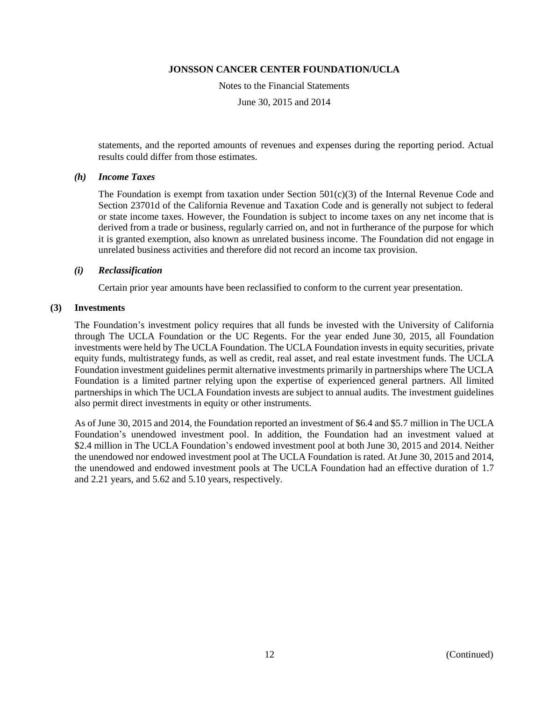Notes to the Financial Statements

June 30, 2015 and 2014

statements, and the reported amounts of revenues and expenses during the reporting period. Actual results could differ from those estimates.

## *(h) Income Taxes*

The Foundation is exempt from taxation under Section  $501(c)(3)$  of the Internal Revenue Code and Section 23701d of the California Revenue and Taxation Code and is generally not subject to federal or state income taxes. However, the Foundation is subject to income taxes on any net income that is derived from a trade or business, regularly carried on, and not in furtherance of the purpose for which it is granted exemption, also known as unrelated business income. The Foundation did not engage in unrelated business activities and therefore did not record an income tax provision.

## *(i) Reclassification*

Certain prior year amounts have been reclassified to conform to the current year presentation.

# **(3) Investments**

The Foundation's investment policy requires that all funds be invested with the University of California through The UCLA Foundation or the UC Regents. For the year ended June 30, 2015, all Foundation investments were held by The UCLA Foundation. The UCLA Foundation invests in equity securities, private equity funds, multistrategy funds, as well as credit, real asset, and real estate investment funds. The UCLA Foundation investment guidelines permit alternative investments primarily in partnerships where The UCLA Foundation is a limited partner relying upon the expertise of experienced general partners. All limited partnerships in which The UCLA Foundation invests are subject to annual audits. The investment guidelines also permit direct investments in equity or other instruments.

As of June 30, 2015 and 2014, the Foundation reported an investment of \$6.4 and \$5.7 million in The UCLA Foundation's unendowed investment pool. In addition, the Foundation had an investment valued at \$2.4 million in The UCLA Foundation's endowed investment pool at both June 30, 2015 and 2014. Neither the unendowed nor endowed investment pool at The UCLA Foundation is rated. At June 30, 2015 and 2014, the unendowed and endowed investment pools at The UCLA Foundation had an effective duration of 1.7 and 2.21 years, and 5.62 and 5.10 years, respectively.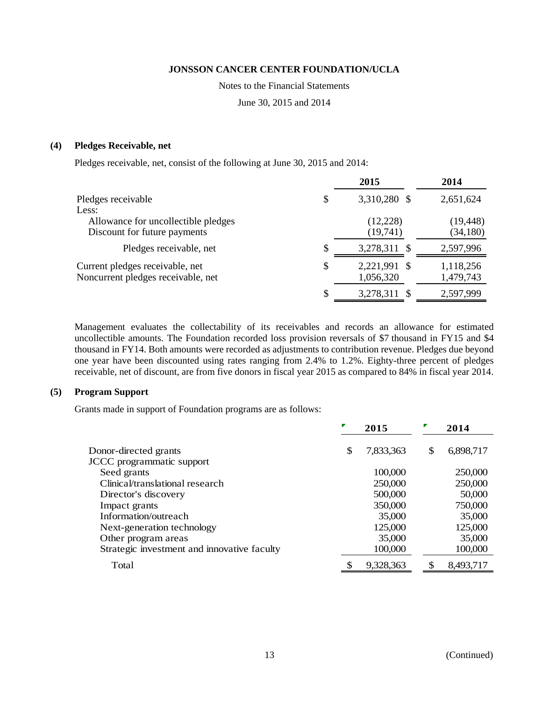Notes to the Financial Statements

June 30, 2015 and 2014

## **(4) Pledges Receivable, net**

Pledges receivable, net, consist of the following at June 30, 2015 and 2014:

|                                                                              |                           | 2015                      | 2014                   |
|------------------------------------------------------------------------------|---------------------------|---------------------------|------------------------|
| Pledges receivable                                                           | $\boldsymbol{\mathsf{S}}$ | 3,310,280 \$              | 2,651,624              |
| Less:<br>Allowance for uncollectible pledges<br>Discount for future payments |                           | (12,228)<br>(19,741)      | (19, 448)<br>(34,180)  |
| Pledges receivable, net                                                      | \$                        | 3,278,311 \$              | 2,597,996              |
| Current pledges receivable, net<br>Noncurrent pledges receivable, net        | $\boldsymbol{\mathsf{S}}$ | 2,221,991 \$<br>1,056,320 | 1,118,256<br>1,479,743 |
|                                                                              | \$                        | 3,278,311 \$              | 2,597,999              |

Management evaluates the collectability of its receivables and records an allowance for estimated uncollectible amounts. The Foundation recorded loss provision reversals of \$7 thousand in FY15 and \$4 thousand in FY14. Both amounts were recorded as adjustments to contribution revenue. Pledges due beyond one year have been discounted using rates ranging from 2.4% to 1.2%. Eighty-three percent of pledges receivable, net of discount, are from five donors in fiscal year 2015 as compared to 84% in fiscal year 2014.

#### **(5) Program Support**

Grants made in support of Foundation programs are as follows:

|                                             | 2015            |     | 2014      |
|---------------------------------------------|-----------------|-----|-----------|
| Donor-directed grants                       | \$<br>7,833,363 | \$. | 6,898,717 |
| JCCC programmatic support                   |                 |     |           |
| Seed grants                                 | 100,000         |     | 250,000   |
| Clinical/translational research             | 250,000         |     | 250,000   |
| Director's discovery                        | 500,000         |     | 50,000    |
| Impact grants                               | 350,000         |     | 750,000   |
| Information/outreach                        | 35,000          |     | 35,000    |
| Next-generation technology                  | 125,000         |     | 125,000   |
| Other program areas                         | 35,000          |     | 35,000    |
| Strategic investment and innovative faculty | 100,000         |     | 100,000   |
| Total                                       | 9,328,363       |     | 8,493,717 |
|                                             |                 |     |           |